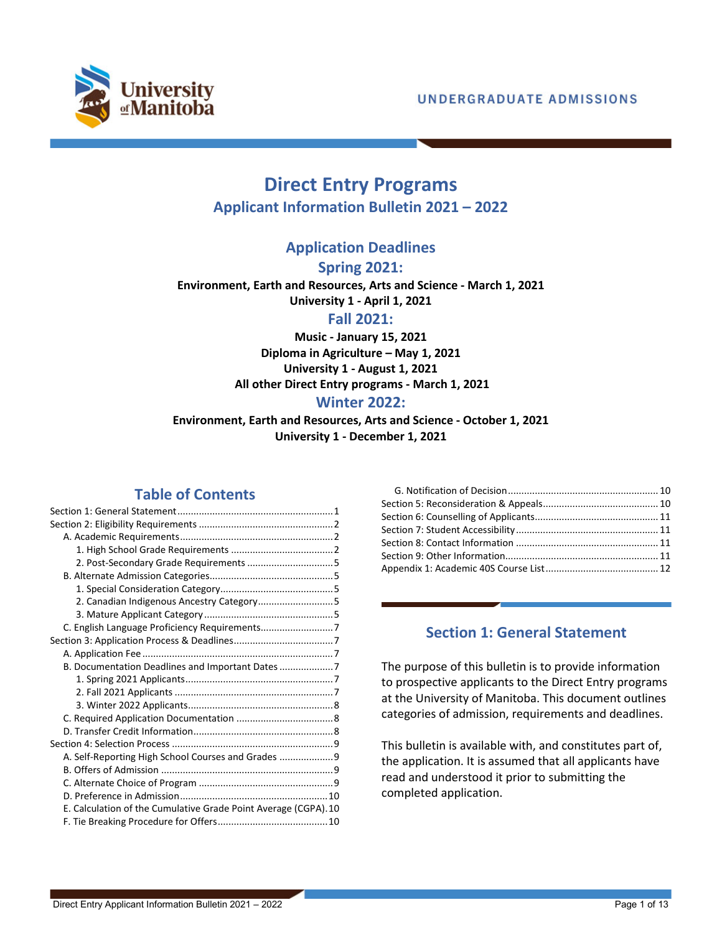

# **Direct Entry Programs Applicant Information Bulletin 2021 – 2022**

**Application Deadlines**

**Spring 2021:**

**Environment, Earth and Resources, Arts and Science - March 1, 2021 University 1 - April 1, 2021**

**Fall 2021:**

**Music - January 15, 2021 Diploma in Agriculture – May 1, 2021 University 1 - August 1, 2021 All other Direct Entry programs - March 1, 2021**

## **Winter 2022:**

**Environment, Earth and Resources, Arts and Science - October 1, 2021 University 1 - December 1, 2021**

# **Table of Contents**

| 2. Canadian Indigenous Ancestry Category5                       |
|-----------------------------------------------------------------|
|                                                                 |
|                                                                 |
|                                                                 |
|                                                                 |
| B. Documentation Deadlines and Important Dates                  |
|                                                                 |
|                                                                 |
|                                                                 |
|                                                                 |
|                                                                 |
|                                                                 |
| A. Self-Reporting High School Courses and Grades  9             |
|                                                                 |
|                                                                 |
|                                                                 |
| E. Calculation of the Cumulative Grade Point Average (CGPA). 10 |
|                                                                 |
|                                                                 |

## **Section 1: General Statement**

<span id="page-0-0"></span>The purpose of this bulletin is to provide information to prospective applicants to the Direct Entry programs at the University of Manitoba. This document outlines categories of admission, requirements and deadlines.

This bulletin is available with, and constitutes part of, the application. It is assumed that all applicants have read and understood it prior to submitting the completed application.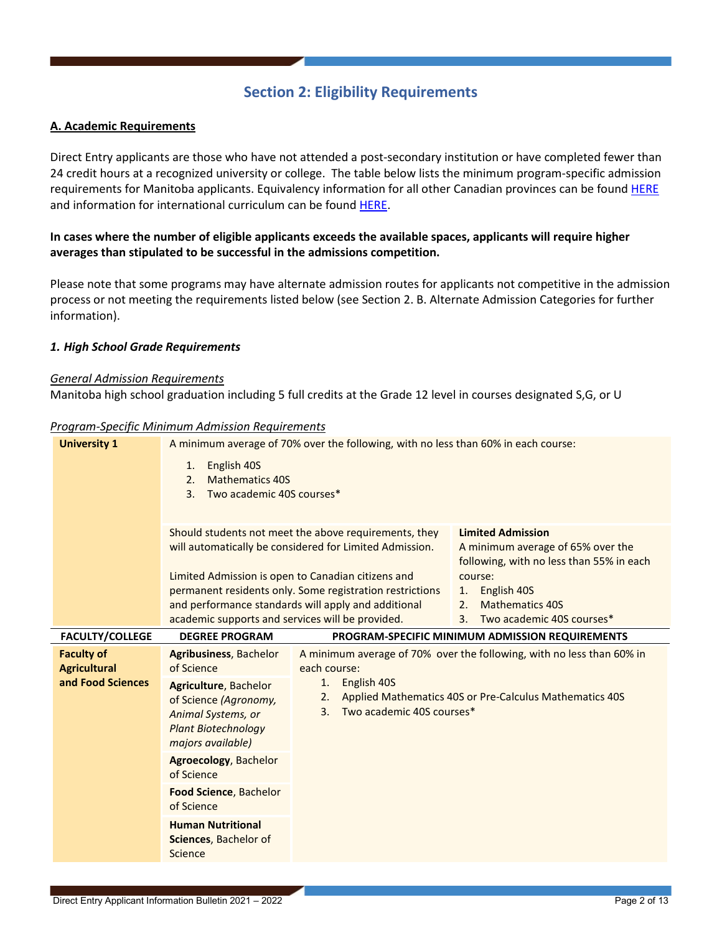# **Section 2: Eligibility Requirements**

### <span id="page-1-1"></span><span id="page-1-0"></span>**A. Academic Requirements**

Direct Entry applicants are those who have not attended a post-secondary institution or have completed fewer than 24 credit hours at a recognized university or college. The table below lists the minimum program-specific admission requirements for Manitoba applicants. Equivalency information for all other Canadian provinces can be found [HERE](https://umanitoba.ca/sites/default/files/2020-04/ProvCourseEq-singlepage-8.5x11.pdf) and information for international curriculum can be found [HERE.](http://umanitoba.ca/admissions/undergraduate/requirements/international)

## **In cases where the number of eligible applicants exceeds the available spaces, applicants will require higher averages than stipulated to be successful in the admissions competition.**

Please note that some programs may have alternate admission routes for applicants not competitive in the admission process or not meeting the requirements listed below (see Section 2. B. Alternate Admission Categories for further information).

#### <span id="page-1-2"></span>*1. High School Grade Requirements*

#### *General Admission Requirements*

Manitoba high school graduation including 5 full credits at the Grade 12 level in courses designated S,G, or U

#### *Program-Specific Minimum Admission Requirements*

|                                          | r rogram-specific ivililimam Admission Regalitements                                                                                                                                                                                                                                                                                                                                                                                                                   |                                                            |                                                                       |
|------------------------------------------|------------------------------------------------------------------------------------------------------------------------------------------------------------------------------------------------------------------------------------------------------------------------------------------------------------------------------------------------------------------------------------------------------------------------------------------------------------------------|------------------------------------------------------------|-----------------------------------------------------------------------|
| <b>University 1</b>                      | A minimum average of 70% over the following, with no less than 60% in each course:                                                                                                                                                                                                                                                                                                                                                                                     |                                                            |                                                                       |
|                                          | English 40S<br>1.<br><b>Mathematics 40S</b><br>2.<br>Two academic 40S courses*<br>3.                                                                                                                                                                                                                                                                                                                                                                                   |                                                            |                                                                       |
|                                          | Should students not meet the above requirements, they<br><b>Limited Admission</b><br>will automatically be considered for Limited Admission.<br>A minimum average of 65% over the<br>following, with no less than 55% in each<br>Limited Admission is open to Canadian citizens and<br>course:<br>permanent residents only. Some registration restrictions<br>English 40S<br>1.<br>and performance standards will apply and additional<br><b>Mathematics 40S</b><br>2. |                                                            |                                                                       |
|                                          | academic supports and services will be provided.                                                                                                                                                                                                                                                                                                                                                                                                                       |                                                            | Two academic 40S courses*<br>3.                                       |
| <b>FACULTY/COLLEGE</b>                   | <b>DEGREE PROGRAM</b>                                                                                                                                                                                                                                                                                                                                                                                                                                                  |                                                            | PROGRAM-SPECIFIC MINIMUM ADMISSION REQUIREMENTS                       |
| <b>Faculty of</b><br><b>Agricultural</b> | <b>Agribusiness, Bachelor</b><br>of Science                                                                                                                                                                                                                                                                                                                                                                                                                            | each course:                                               | A minimum average of 70% over the following, with no less than 60% in |
| and Food Sciences                        | <b>Agriculture, Bachelor</b><br>of Science (Agronomy,<br>Animal Systems, or<br><b>Plant Biotechnology</b><br>majors available)                                                                                                                                                                                                                                                                                                                                         | English 40S<br>1.<br>2.<br>Two academic 40S courses*<br>3. | Applied Mathematics 40S or Pre-Calculus Mathematics 40S               |
|                                          | <b>Agroecology</b> , Bachelor<br>of Science                                                                                                                                                                                                                                                                                                                                                                                                                            |                                                            |                                                                       |
|                                          |                                                                                                                                                                                                                                                                                                                                                                                                                                                                        |                                                            |                                                                       |
|                                          | <b>Food Science, Bachelor</b><br>of Science                                                                                                                                                                                                                                                                                                                                                                                                                            |                                                            |                                                                       |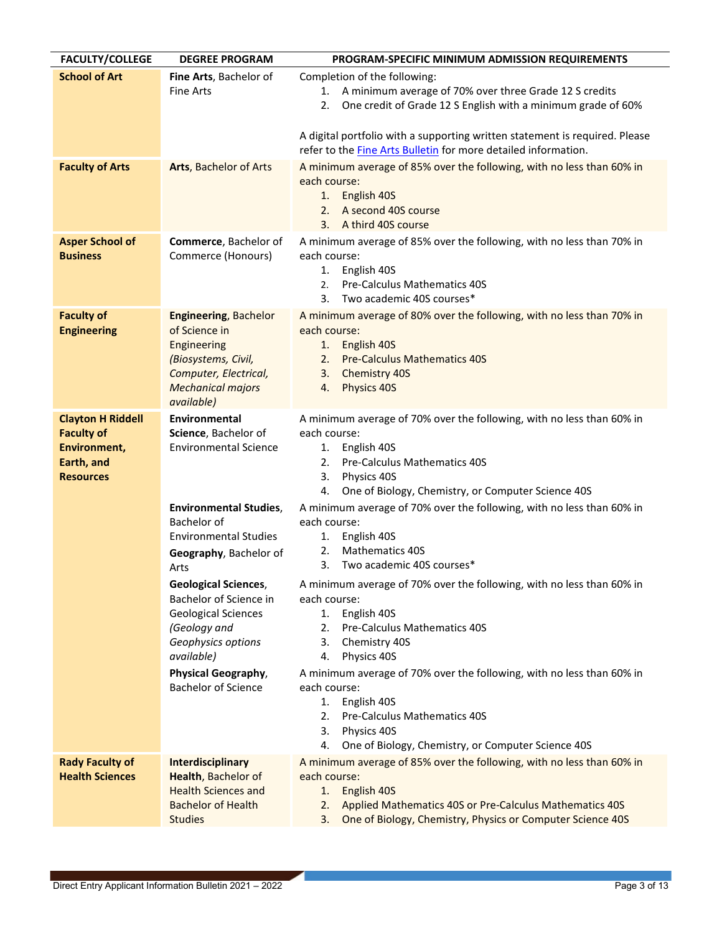| <b>FACULTY/COLLEGE</b>                                                                          | <b>DEGREE PROGRAM</b>                                                                                                                                                                                | PROGRAM-SPECIFIC MINIMUM ADMISSION REQUIREMENTS                                                                                                                                                                                                                                                                                                                                                                                   |
|-------------------------------------------------------------------------------------------------|------------------------------------------------------------------------------------------------------------------------------------------------------------------------------------------------------|-----------------------------------------------------------------------------------------------------------------------------------------------------------------------------------------------------------------------------------------------------------------------------------------------------------------------------------------------------------------------------------------------------------------------------------|
| <b>School of Art</b>                                                                            | Fine Arts, Bachelor of<br><b>Fine Arts</b>                                                                                                                                                           | Completion of the following:<br>1. A minimum average of 70% over three Grade 12 S credits<br>One credit of Grade 12 S English with a minimum grade of 60%<br>2.                                                                                                                                                                                                                                                                   |
|                                                                                                 |                                                                                                                                                                                                      | A digital portfolio with a supporting written statement is required. Please<br>refer to the Fine Arts Bulletin for more detailed information.                                                                                                                                                                                                                                                                                     |
| <b>Faculty of Arts</b>                                                                          | Arts, Bachelor of Arts                                                                                                                                                                               | A minimum average of 85% over the following, with no less than 60% in<br>each course:<br>English 40S<br>1.<br>A second 40S course<br>2.<br>A third 40S course<br>3.                                                                                                                                                                                                                                                               |
| <b>Asper School of</b><br><b>Business</b>                                                       | Commerce, Bachelor of<br>Commerce (Honours)                                                                                                                                                          | A minimum average of 85% over the following, with no less than 70% in<br>each course:<br>1. English 40S<br><b>Pre-Calculus Mathematics 40S</b><br>2.<br>Two academic 40S courses*<br>3.                                                                                                                                                                                                                                           |
| <b>Faculty of</b><br><b>Engineering</b>                                                         | <b>Engineering, Bachelor</b><br>of Science in<br>Engineering<br>(Biosystems, Civil,<br>Computer, Electrical,<br><b>Mechanical majors</b><br>available)                                               | A minimum average of 80% over the following, with no less than 70% in<br>each course:<br>English 40S<br>1.<br><b>Pre-Calculus Mathematics 40S</b><br>2.<br>3.<br>Chemistry 40S<br>Physics 40S<br>4.                                                                                                                                                                                                                               |
| <b>Clayton H Riddell</b><br><b>Faculty of</b><br>Environment,<br>Earth, and<br><b>Resources</b> | <b>Environmental</b><br>Science, Bachelor of<br><b>Environmental Science</b><br><b>Environmental Studies,</b><br>Bachelor of<br><b>Environmental Studies</b><br>Geography, Bachelor of               | A minimum average of 70% over the following, with no less than 60% in<br>each course:<br>1. English 40S<br><b>Pre-Calculus Mathematics 40S</b><br>2.<br>Physics 40S<br>3.<br>One of Biology, Chemistry, or Computer Science 40S<br>4.<br>A minimum average of 70% over the following, with no less than 60% in<br>each course:<br>English 40S<br>1.<br><b>Mathematics 40S</b><br>2.<br>Two academic 40S courses*<br>3.            |
|                                                                                                 | Arts<br><b>Geological Sciences,</b><br>Bachelor of Science in<br><b>Geological Sciences</b><br>(Geology and<br>Geophysics options<br>available)<br>Physical Geography,<br><b>Bachelor of Science</b> | A minimum average of 70% over the following, with no less than 60% in<br>each course:<br>English 40S<br>1.<br>Pre-Calculus Mathematics 40S<br>2.<br>Chemistry 40S<br>3.<br>Physics 40S<br>4.<br>A minimum average of 70% over the following, with no less than 60% in<br>each course:<br>English 40S<br>1.<br>Pre-Calculus Mathematics 40S<br>2.<br>Physics 40S<br>3.<br>4.<br>One of Biology, Chemistry, or Computer Science 40S |
| <b>Rady Faculty of</b><br><b>Health Sciences</b>                                                | Interdisciplinary<br>Health, Bachelor of<br><b>Health Sciences and</b><br><b>Bachelor of Health</b><br><b>Studies</b>                                                                                | A minimum average of 85% over the following, with no less than 60% in<br>each course:<br>English 40S<br>1.<br>Applied Mathematics 40S or Pre-Calculus Mathematics 40S<br>2.<br>One of Biology, Chemistry, Physics or Computer Science 40S<br>3.                                                                                                                                                                                   |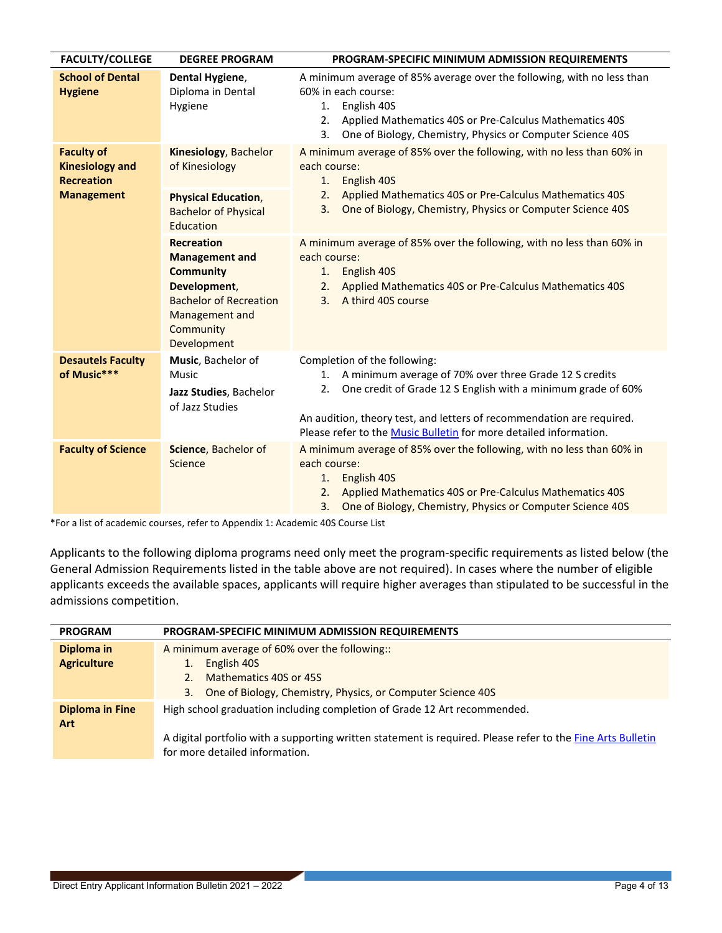| <b>FACULTY/COLLEGE</b>                                           | <b>DEGREE PROGRAM</b>                                                                                                                                         | PROGRAM-SPECIFIC MINIMUM ADMISSION REQUIREMENTS                                                                                                                                                                                                                                                                |
|------------------------------------------------------------------|---------------------------------------------------------------------------------------------------------------------------------------------------------------|----------------------------------------------------------------------------------------------------------------------------------------------------------------------------------------------------------------------------------------------------------------------------------------------------------------|
| <b>School of Dental</b><br><b>Hygiene</b>                        | Dental Hygiene,<br>Diploma in Dental<br>Hygiene                                                                                                               | A minimum average of 85% average over the following, with no less than<br>60% in each course:<br>English 40S<br>1.<br>Applied Mathematics 40S or Pre-Calculus Mathematics 40S<br>2.<br>One of Biology, Chemistry, Physics or Computer Science 40S<br>3.                                                        |
| <b>Faculty of</b><br><b>Kinesiology and</b><br><b>Recreation</b> | Kinesiology, Bachelor<br>of Kinesiology                                                                                                                       | A minimum average of 85% over the following, with no less than 60% in<br>each course:<br>English 40S<br>1.                                                                                                                                                                                                     |
| <b>Management</b>                                                | <b>Physical Education,</b><br><b>Bachelor of Physical</b><br>Education                                                                                        | Applied Mathematics 40S or Pre-Calculus Mathematics 40S<br>2.<br>One of Biology, Chemistry, Physics or Computer Science 40S<br>3.                                                                                                                                                                              |
|                                                                  | <b>Recreation</b><br><b>Management and</b><br><b>Community</b><br>Development,<br><b>Bachelor of Recreation</b><br>Management and<br>Community<br>Development | A minimum average of 85% over the following, with no less than 60% in<br>each course:<br>English 40S<br>1.<br>Applied Mathematics 40S or Pre-Calculus Mathematics 40S<br>2.<br>A third 40S course<br>3.                                                                                                        |
| <b>Desautels Faculty</b><br>of Music***                          | Music, Bachelor of<br>Music<br>Jazz Studies, Bachelor<br>of Jazz Studies                                                                                      | Completion of the following:<br>A minimum average of 70% over three Grade 12 S credits<br>1.<br>One credit of Grade 12 S English with a minimum grade of 60%<br>2.<br>An audition, theory test, and letters of recommendation are required.                                                                    |
| <b>Faculty of Science</b>                                        | Science, Bachelor of<br>Science                                                                                                                               | Please refer to the Music Bulletin for more detailed information.<br>A minimum average of 85% over the following, with no less than 60% in<br>each course:<br>1. English 40S<br>2. Applied Mathematics 40S or Pre-Calculus Mathematics 40S<br>One of Biology, Chemistry, Physics or Computer Science 40S<br>3. |

\*For a list of academic courses, refer to Appendix 1: Academic 40S Course List

Applicants to the following diploma programs need only meet the program-specific requirements as listed below (the General Admission Requirements listed in the table above are not required). In cases where the number of eligible applicants exceeds the available spaces, applicants will require higher averages than stipulated to be successful in the admissions competition.

| <b>PROGRAM</b>         | <b>PROGRAM-SPECIFIC MINIMUM ADMISSION REQUIREMENTS</b>                                                      |
|------------------------|-------------------------------------------------------------------------------------------------------------|
| Diploma in             | A minimum average of 60% over the following::                                                               |
| <b>Agriculture</b>     | English 40S                                                                                                 |
|                        | Mathematics 40S or 45S                                                                                      |
|                        | One of Biology, Chemistry, Physics, or Computer Science 40S<br>3.                                           |
| <b>Diploma in Fine</b> | High school graduation including completion of Grade 12 Art recommended.                                    |
| <b>Art</b>             |                                                                                                             |
|                        | A digital portfolio with a supporting written statement is required. Please refer to the Fine Arts Bulletin |
|                        | for more detailed information.                                                                              |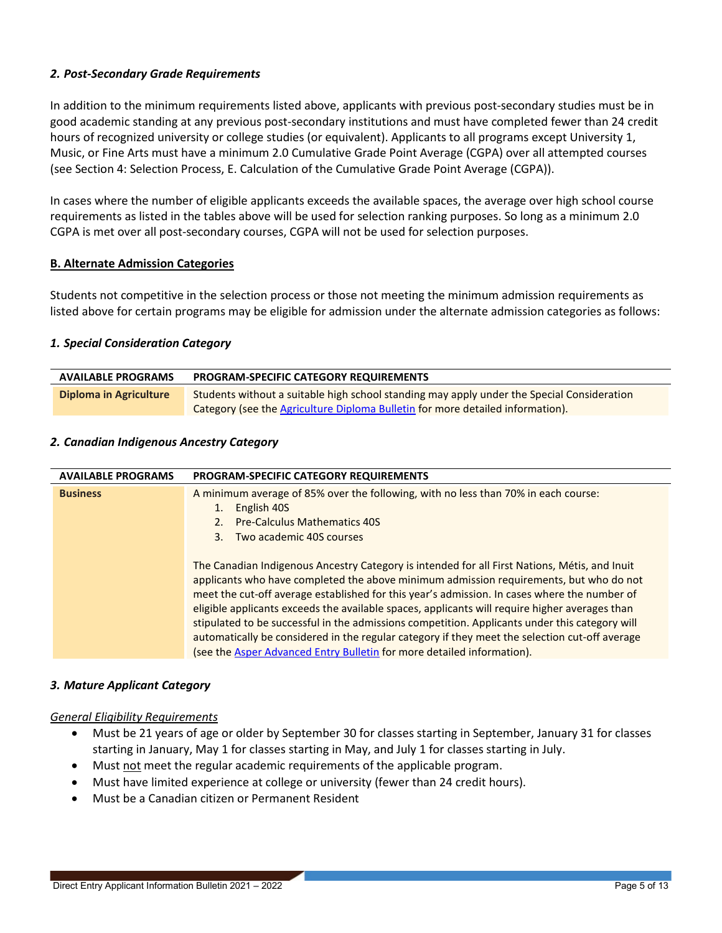## <span id="page-4-0"></span>*2. Post-Secondary Grade Requirements*

In addition to the minimum requirements listed above, applicants with previous post-secondary studies must be in good academic standing at any previous post-secondary institutions and must have completed fewer than 24 credit hours of recognized university or college studies (or equivalent). Applicants to all programs except University 1, Music, or Fine Arts must have a minimum 2.0 Cumulative Grade Point Average (CGPA) over all attempted courses (see Section 4: Selection Process, E. Calculation of the Cumulative Grade Point Average (CGPA)).

In cases where the number of eligible applicants exceeds the available spaces, the average over high school course requirements as listed in the tables above will be used for selection ranking purposes. So long as a minimum 2.0 CGPA is met over all post-secondary courses, CGPA will not be used for selection purposes.

## <span id="page-4-1"></span>**B. Alternate Admission Categories**

Students not competitive in the selection process or those not meeting the minimum admission requirements as listed above for certain programs may be eligible for admission under the alternate admission categories as follows:

#### <span id="page-4-2"></span>*1. Special Consideration Category*

| <b>AVAILABLE PROGRAMS</b> | <b>PROGRAM-SPECIFIC CATEGORY REQUIREMENTS</b>                                              |
|---------------------------|--------------------------------------------------------------------------------------------|
| Diploma in Agriculture    | Students without a suitable high school standing may apply under the Special Consideration |
|                           | Category (see the Agriculture Diploma Bulletin for more detailed information).             |

#### <span id="page-4-3"></span>*2. Canadian Indigenous Ancestry Category*

| <b>AVAILABLE PROGRAMS</b> | <b>PROGRAM-SPECIFIC CATEGORY REQUIREMENTS</b>                                                  |
|---------------------------|------------------------------------------------------------------------------------------------|
| <b>Business</b>           | A minimum average of 85% over the following, with no less than 70% in each course:             |
|                           | English 40S                                                                                    |
|                           | <b>Pre-Calculus Mathematics 40S</b>                                                            |
|                           | Two academic 40S courses<br>3.                                                                 |
|                           |                                                                                                |
|                           | The Canadian Indigenous Ancestry Category is intended for all First Nations, Métis, and Inuit  |
|                           | applicants who have completed the above minimum admission requirements, but who do not         |
|                           | meet the cut-off average established for this year's admission. In cases where the number of   |
|                           | eligible applicants exceeds the available spaces, applicants will require higher averages than |
|                           | stipulated to be successful in the admissions competition. Applicants under this category will |
|                           | automatically be considered in the regular category if they meet the selection cut-off average |
|                           | (see the Asper Advanced Entry Bulletin for more detailed information).                         |

#### <span id="page-4-4"></span>*3. Mature Applicant Category*

#### *General Eligibility Requirements*

- Must be 21 years of age or older by September 30 for classes starting in September, January 31 for classes starting in January, May 1 for classes starting in May, and July 1 for classes starting in July.
- Must not meet the regular academic requirements of the applicable program.
- Must have limited experience at college or university (fewer than 24 credit hours).
- Must be a Canadian citizen or Permanent Resident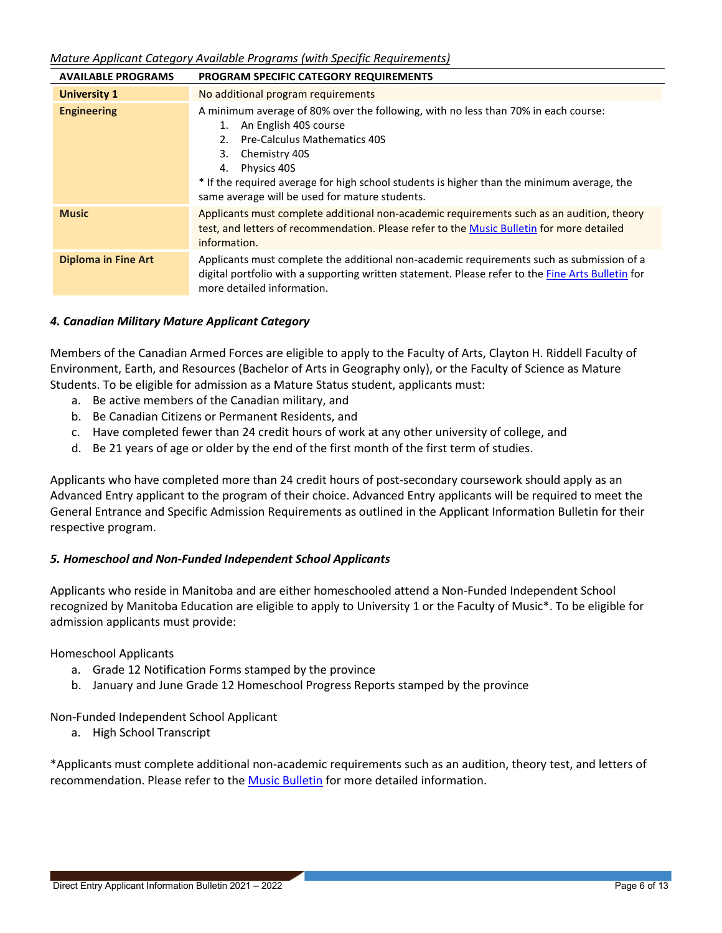*Mature Applicant Category Available Programs (with Specific Requirements)*

| <b>AVAILABLE PROGRAMS</b>  | <b>PROGRAM SPECIFIC CATEGORY REQUIREMENTS</b>                                                                                                                                                                                                                                                                                                        |  |
|----------------------------|------------------------------------------------------------------------------------------------------------------------------------------------------------------------------------------------------------------------------------------------------------------------------------------------------------------------------------------------------|--|
| <b>University 1</b>        | No additional program requirements                                                                                                                                                                                                                                                                                                                   |  |
| <b>Engineering</b>         | A minimum average of 80% over the following, with no less than 70% in each course:<br>An English 40S course<br>1.<br><b>Pre-Calculus Mathematics 40S</b><br>Chemistry 40S<br>3.<br>Physics 40S<br>4.<br>* If the required average for high school students is higher than the minimum average, the<br>same average will be used for mature students. |  |
| <b>Music</b>               | Applicants must complete additional non-academic requirements such as an audition, theory<br>test, and letters of recommendation. Please refer to the Music Bulletin for more detailed<br>information.                                                                                                                                               |  |
| <b>Diploma in Fine Art</b> | Applicants must complete the additional non-academic requirements such as submission of a<br>digital portfolio with a supporting written statement. Please refer to the Fine Arts Bulletin for<br>more detailed information.                                                                                                                         |  |

## *4. Canadian Military Mature Applicant Category*

Members of the Canadian Armed Forces are eligible to apply to the Faculty of Arts, Clayton H. Riddell Faculty of Environment, Earth, and Resources (Bachelor of Arts in Geography only), or the Faculty of Science as Mature Students. To be eligible for admission as a Mature Status student, applicants must:

- a. Be active members of the Canadian military, and
- b. Be Canadian Citizens or Permanent Residents, and
- c. Have completed fewer than 24 credit hours of work at any other university of college, and
- d. Be 21 years of age or older by the end of the first month of the first term of studies.

Applicants who have completed more than 24 credit hours of post-secondary coursework should apply as an Advanced Entry applicant to the program of their choice. Advanced Entry applicants will be required to meet the General Entrance and Specific Admission Requirements as outlined in the Applicant Information Bulletin for their respective program.

## *5. Homeschool and Non-Funded Independent School Applicants*

Applicants who reside in Manitoba and are either homeschooled attend a Non-Funded Independent School recognized by Manitoba Education are eligible to apply to University 1 or the Faculty of Music\*. To be eligible for admission applicants must provide:

## Homeschool Applicants

- a. Grade 12 Notification Forms stamped by the province
- b. January and June Grade 12 Homeschool Progress Reports stamped by the province

Non-Funded Independent School Applicant

a. High School Transcript

\*Applicants must complete additional non-academic requirements such as an audition, theory test, and letters of recommendation. Please refer to the [Music Bulletin](https://umanitoba.ca/explore/sites/explore/files/2021-03/music-bulletin.pdf) for more detailed information.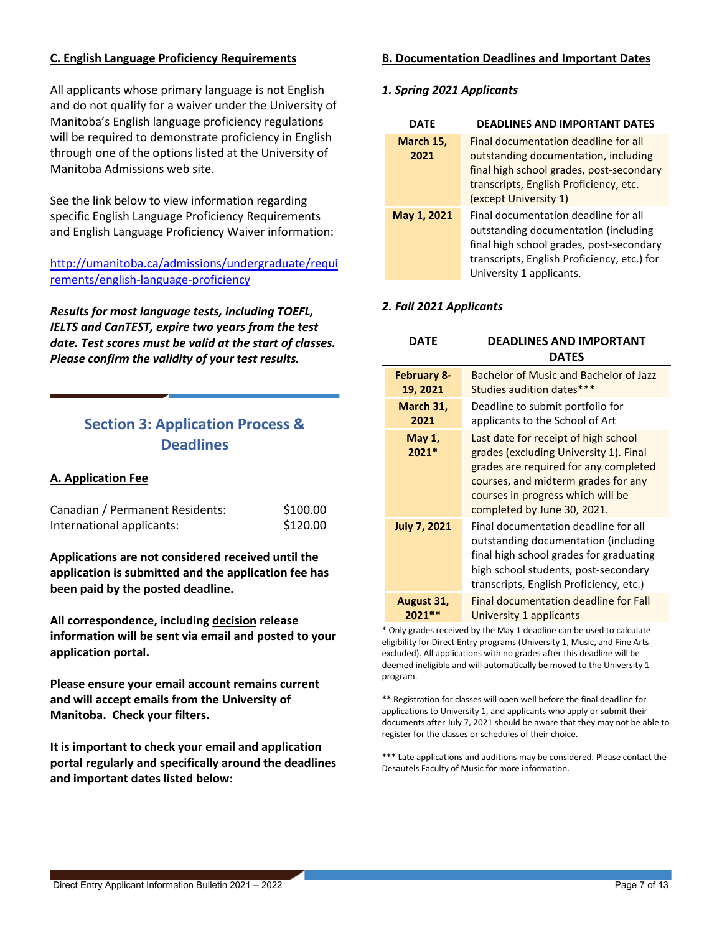## <span id="page-6-0"></span>**C. English Language Proficiency Requirements**

All applicants whose primary language is not English and do not qualify for a waiver under the University of Manitoba's English language proficiency regulations will be required to demonstrate proficiency in English through one of the options listed at the University of Manitoba Admissions web site.

See the link below to view information regarding specific English Language Proficiency Requirements and English Language Proficiency Waiver information:

## [http://umanitoba.ca/admissions/undergraduate/requi](http://umanitoba.ca/admissions/undergraduate/requirements/english-language-proficiency) [rements/english-language-proficiency](http://umanitoba.ca/admissions/undergraduate/requirements/english-language-proficiency)

*Results for most language tests, including TOEFL, IELTS and CanTEST, expire two years from the test date. Test scores must be valid at the start of classes. Please confirm the validity of your test results.*

## <span id="page-6-1"></span>**Section 3: Application Process & Deadlines**

## <span id="page-6-2"></span>**A. Application Fee**

| Canadian / Permanent Residents: | \$100.00 |
|---------------------------------|----------|
| International applicants:       | \$120.00 |

**Applications are not considered received until the application is submitted and the application fee has been paid by the posted deadline.**

**All correspondence, including decision release information will be sent via email and posted to your application portal.** 

**Please ensure your email account remains current and will accept emails from the University of Manitoba. Check your filters.**

**It is important to check your email and application portal regularly and specifically around the deadlines and important dates listed below:**

#### <span id="page-6-3"></span>**B. Documentation Deadlines and Important Dates**

#### <span id="page-6-4"></span>*1. Spring 2021 Applicants*

| <b>DATE</b> | <b>DEADLINES AND IMPORTANT DATES</b>                                                                                                                                                                |
|-------------|-----------------------------------------------------------------------------------------------------------------------------------------------------------------------------------------------------|
| March 15,   | Final documentation deadline for all                                                                                                                                                                |
| 2021        | outstanding documentation, including                                                                                                                                                                |
|             | final high school grades, post-secondary<br>transcripts, English Proficiency, etc.<br>(except University 1)                                                                                         |
| May 1, 2021 | Final documentation deadline for all<br>outstanding documentation (including<br>final high school grades, post-secondary<br>transcripts, English Proficiency, etc.) for<br>University 1 applicants. |

#### <span id="page-6-5"></span>*2. Fall 2021 Applicants*

| DATE                           | <b>DEADLINES AND IMPORTANT</b><br><b>DATES</b>                                                                                                                                                                                     |
|--------------------------------|------------------------------------------------------------------------------------------------------------------------------------------------------------------------------------------------------------------------------------|
| <b>February 8-</b><br>19, 2021 | Bachelor of Music and Bachelor of Jazz<br>Studies audition dates***                                                                                                                                                                |
| March 31,<br>2021              | Deadline to submit portfolio for<br>applicants to the School of Art                                                                                                                                                                |
| May 1,<br>2021*                | Last date for receipt of high school<br>grades (excluding University 1). Final<br>grades are required for any completed<br>courses, and midterm grades for any<br>courses in progress which will be<br>completed by June 30, 2021. |
| <b>July 7, 2021</b>            | Final documentation deadline for all<br>outstanding documentation (including<br>final high school grades for graduating<br>high school students, post-secondary<br>transcripts, English Proficiency, etc.)                         |
| August 31,<br>2021**           | <b>Final documentation deadline for Fall</b><br>University 1 applicants<br>Capitation of hours are an interest of an interest of the temperature of the final state of the S                                                       |

Only grades received by the May 1 deadline can be used to calculate eligibility for Direct Entry programs (University 1, Music, and Fine Arts excluded). All applications with no grades after this deadline will be deemed ineligible and will automatically be moved to the University 1 program.

\*\* Registration for classes will open well before the final deadline for applications to University 1, and applicants who apply or submit their documents after July 7, 2021 should be aware that they may not be able to register for the classes or schedules of their choice.

\*\*\* Late applications and auditions may be considered. Please contact the Desautels Faculty of Music for more information.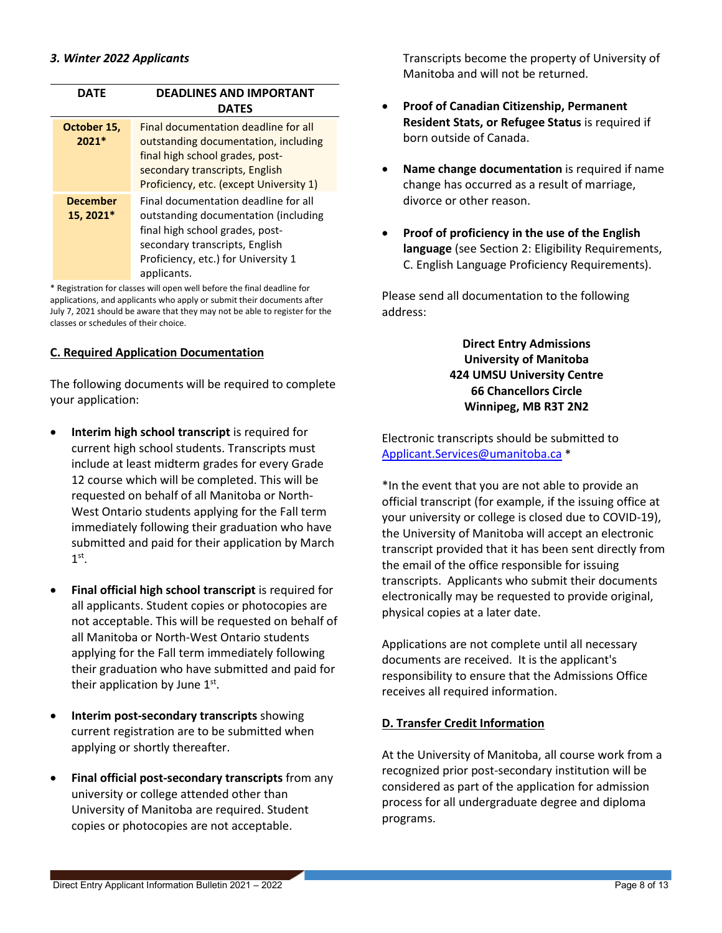<span id="page-7-0"></span>

| DATF                         | <b>DEADLINES AND IMPORTANT</b><br><b>DATES</b>                                                                                                                                                          |
|------------------------------|---------------------------------------------------------------------------------------------------------------------------------------------------------------------------------------------------------|
| October 15,<br>$2021*$       | Final documentation deadline for all<br>outstanding documentation, including<br>final high school grades, post-<br>secondary transcripts, English<br>Proficiency, etc. (except University 1)            |
| <b>December</b><br>15, 2021* | Final documentation deadline for all<br>outstanding documentation (including<br>final high school grades, post-<br>secondary transcripts, English<br>Proficiency, etc.) for University 1<br>applicants. |

\* Registration for classes will open well before the final deadline for applications, and applicants who apply or submit their documents after July 7, 2021 should be aware that they may not be able to register for the classes or schedules of their choice.

## <span id="page-7-1"></span>**C. Required Application Documentation**

The following documents will be required to complete your application:

- **Interim high school transcript** is required for current high school students. Transcripts must include at least midterm grades for every Grade 12 course which will be completed. This will be requested on behalf of all Manitoba or North-West Ontario students applying for the Fall term immediately following their graduation who have submitted and paid for their application by March  $1<sup>st</sup>$ .
- **Final official high school transcript** is required for all applicants. Student copies or photocopies are not acceptable. This will be requested on behalf of all Manitoba or North-West Ontario students applying for the Fall term immediately following their graduation who have submitted and paid for their application by June 1<sup>st</sup>.
- **Interim post-secondary transcripts** showing current registration are to be submitted when applying or shortly thereafter.
- **Final official post-secondary transcripts** from any university or college attended other than University of Manitoba are required. Student copies or photocopies are not acceptable.

Transcripts become the property of University of Manitoba and will not be returned.

- **Proof of Canadian Citizenship, Permanent Resident Stats, or Refugee Status** is required if born outside of Canada.
- **Name change documentation** is required if name change has occurred as a result of marriage, divorce or other reason.
- **Proof of proficiency in the use of the English language** (see [Section 2: Eligibility](#page-1-0) Requirements, [C. English Language Proficiency Requirements\)](#page-6-0).

Please send all documentation to the following address:

> **Direct Entry Admissions University of Manitoba 424 UMSU University Centre 66 Chancellors Circle Winnipeg, MB R3T 2N2**

Electronic transcripts should be submitted to [Applicant.Services@umanitoba.ca](mailto:Applicant.Services@umanitoba.ca) \*

\*In the event that you are not able to provide an official transcript (for example, if the issuing office at your university or college is closed due to COVID-19), the University of Manitoba will accept an electronic transcript provided that it has been sent directly from the email of the office responsible for issuing transcripts. Applicants who submit their documents electronically may be requested to provide original, physical copies at a later date.

Applications are not complete until all necessary documents are received. It is the applicant's responsibility to ensure that the Admissions Office receives all required information.

## <span id="page-7-2"></span>**D. Transfer Credit Information**

At the University of Manitoba, all course work from a recognized prior post-secondary institution will be considered as part of the application for admission process for all undergraduate degree and diploma programs.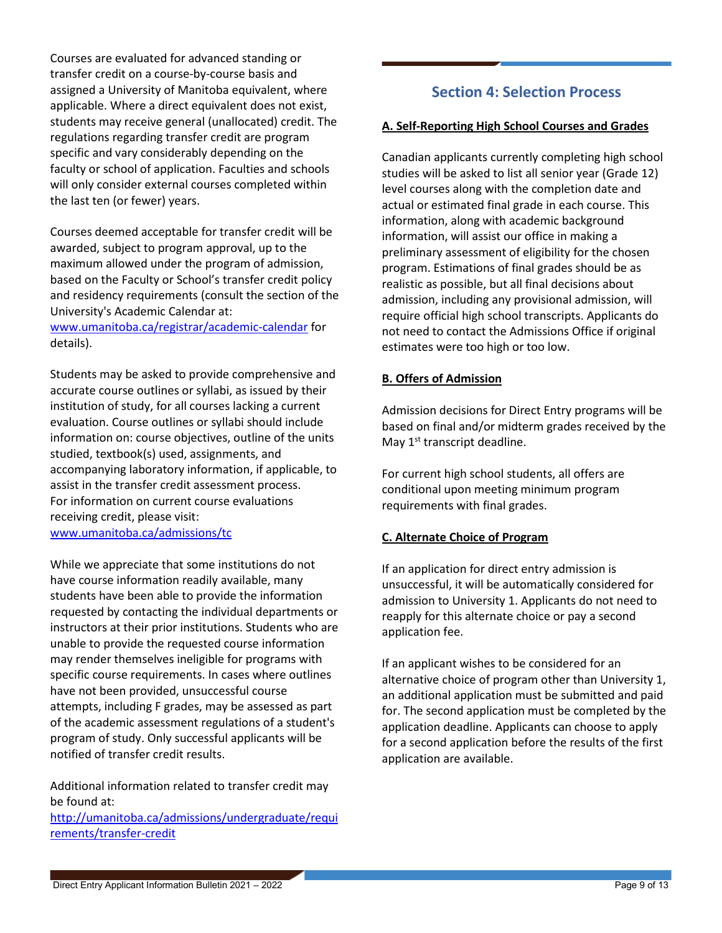Courses are evaluated for advanced standing or transfer credit on a course-by-course basis and assigned a University of Manitoba equivalent, where applicable. Where a direct equivalent does not exist, students may receive general (unallocated) credit. The regulations regarding transfer credit are program specific and vary considerably depending on the faculty or school of application. Faculties and schools will only consider external courses completed within the last ten (or fewer) years.

Courses deemed acceptable for transfer credit will be awarded, subject to program approval, up to the maximum allowed under the program of admission, based on the Faculty or School's transfer credit policy and residency requirements (consult the section of the University's Academic Calendar at:

[www.umanitoba.ca/registrar/academic-calendar](http://www.umanitoba.ca/registrar/academic-calendar) for details).

Students may be asked to provide comprehensive and accurate course outlines or syllabi, as issued by their institution of study, for all courses lacking a current evaluation. Course outlines or syllabi should include information on: course objectives, outline of the units studied, textbook(s) used, assignments, and accompanying laboratory information, if applicable, to assist in the transfer credit assessment process. For information on current course evaluations receiving credit, please visit: [www.umanitoba.ca/admissions/tc](http://www.umanitoba.ca/admissions/tc)

While we appreciate that some institutions do not have course information readily available, many students have been able to provide the information requested by contacting the individual departments or instructors at their prior institutions. Students who are unable to provide the requested course information may render themselves ineligible for programs with specific course requirements. In cases where outlines have not been provided, unsuccessful course attempts, including F grades, may be assessed as part of the academic assessment regulations of a student's program of study. Only successful applicants will be notified of transfer credit results.

Additional information related to transfer credit may be found at:

[http://umanitoba.ca/admissions/undergraduate/requi](http://umanitoba.ca/admissions/undergraduate/requirements/transfer-credit) [rements/transfer-credit](http://umanitoba.ca/admissions/undergraduate/requirements/transfer-credit)

## **Section 4: Selection Process**

#### <span id="page-8-1"></span><span id="page-8-0"></span>**A. Self-Reporting High School Courses and Grades**

Canadian applicants currently completing high school studies will be asked to list all senior year (Grade 12) level courses along with the completion date and actual or estimated final grade in each course. This information, along with academic background information, will assist our office in making a preliminary assessment of eligibility for the chosen program. Estimations of final grades should be as realistic as possible, but all final decisions about admission, including any provisional admission, will require official high school transcripts. Applicants do not need to contact the Admissions Office if original estimates were too high or too low.

#### <span id="page-8-2"></span>**B. Offers of Admission**

Admission decisions for Direct Entry programs will be based on final and/or midterm grades received by the May 1<sup>st</sup> transcript deadline.

For current high school students, all offers are conditional upon meeting minimum program requirements with final grades.

## <span id="page-8-3"></span>**C. Alternate Choice of Program**

If an application for direct entry admission is unsuccessful, it will be automatically considered for admission to University 1. Applicants do not need to reapply for this alternate choice or pay a second application fee.

If an applicant wishes to be considered for an alternative choice of program other than University 1, an additional application must be submitted and paid for. The second application must be completed by the application deadline. Applicants can choose to apply for a second application before the results of the first application are available.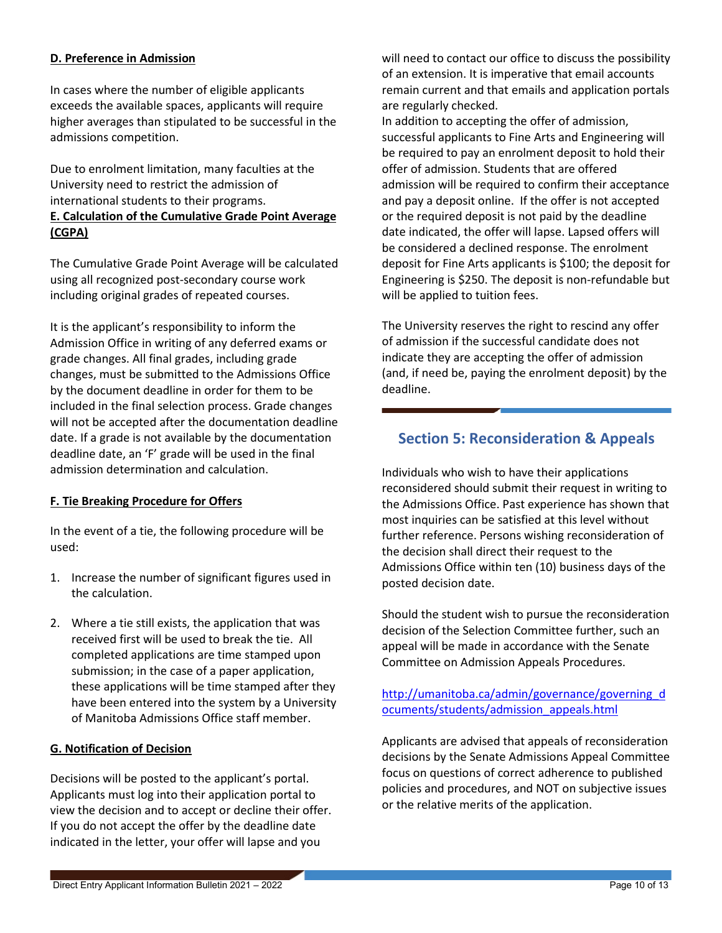## <span id="page-9-0"></span>**D. Preference in Admission**

In cases where the number of eligible applicants exceeds the available spaces, applicants will require higher averages than stipulated to be successful in the admissions competition.

<span id="page-9-1"></span>Due to enrolment limitation, many faculties at the University need to restrict the admission of international students to their programs. **E. Calculation of the Cumulative Grade Point Average (CGPA)**

The Cumulative Grade Point Average will be calculated using all recognized post-secondary course work including original grades of repeated courses.

It is the applicant's responsibility to inform the Admission Office in writing of any deferred exams or grade changes. All final grades, including grade changes, must be submitted to the Admissions Office by the document deadline in order for them to be included in the final selection process. Grade changes will not be accepted after the documentation deadline date. If a grade is not available by the documentation deadline date, an 'F' grade will be used in the final admission determination and calculation.

## <span id="page-9-2"></span>**F. Tie Breaking Procedure for Offers**

In the event of a tie, the following procedure will be used:

- 1. Increase the number of significant figures used in the calculation.
- 2. Where a tie still exists, the application that was received first will be used to break the tie. All completed applications are time stamped upon submission; in the case of a paper application, these applications will be time stamped after they have been entered into the system by a University of Manitoba Admissions Office staff member.

## <span id="page-9-3"></span>**G. Notification of Decision**

Decisions will be posted to the applicant's portal. Applicants must log into their application portal to view the decision and to accept or decline their offer. If you do not accept the offer by the deadline date indicated in the letter, your offer will lapse and you

will need to contact our office to discuss the possibility of an extension. It is imperative that email accounts remain current and that emails and application portals are regularly checked.

In addition to accepting the offer of admission, successful applicants to Fine Arts and Engineering will be required to pay an enrolment deposit to hold their offer of admission. Students that are offered admission will be required to confirm their acceptance and pay a deposit online. If the offer is not accepted or the required deposit is not paid by the deadline date indicated, the offer will lapse. Lapsed offers will be considered a declined response. The enrolment deposit for Fine Arts applicants is \$100; the deposit for Engineering is \$250. The deposit is non-refundable but will be applied to tuition fees.

The University reserves the right to rescind any offer of admission if the successful candidate does not indicate they are accepting the offer of admission (and, if need be, paying the enrolment deposit) by the deadline.

## <span id="page-9-4"></span>**Section 5: Reconsideration & Appeals**

Individuals who wish to have their applications reconsidered should submit their request in writing to the Admissions Office. Past experience has shown that most inquiries can be satisfied at this level without further reference. Persons wishing reconsideration of the decision shall direct their request to the Admissions Office within ten (10) business days of the posted decision date.

Should the student wish to pursue the reconsideration decision of the Selection Committee further, such an appeal will be made in accordance with the Senate Committee on Admission Appeals Procedures.

[http://umanitoba.ca/admin/governance/governing\\_d](http://umanitoba.ca/admin/governance/governing_documents/students/admission_appeals.html) [ocuments/students/admission\\_appeals.html](http://umanitoba.ca/admin/governance/governing_documents/students/admission_appeals.html)

Applicants are advised that appeals of reconsideration decisions by the Senate Admissions Appeal Committee focus on questions of correct adherence to published policies and procedures, and NOT on subjective issues or the relative merits of the application.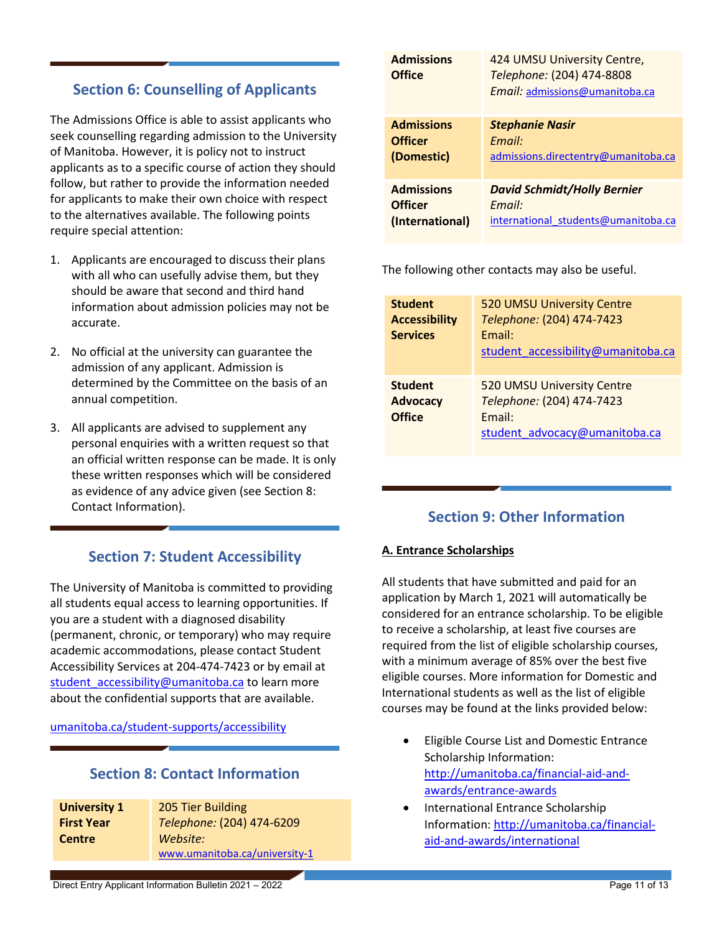# <span id="page-10-0"></span>**Section 6: Counselling of Applicants**

The Admissions Office is able to assist applicants who seek counselling regarding admission to the University of Manitoba. However, it is policy not to instruct applicants as to a specific course of action they should follow, but rather to provide the information needed for applicants to make their own choice with respect to the alternatives available. The following points require special attention:

- 1. Applicants are encouraged to discuss their plans with all who can usefully advise them, but they should be aware that second and third hand information about admission policies may not be accurate.
- 2. No official at the university can guarantee the admission of any applicant. Admission is determined by the Committee on the basis of an annual competition.
- 3. All applicants are advised to supplement any personal enquiries with a written request so that an official written response can be made. It is only these written responses which will be considered as evidence of any advice given (see [Section 8:](#page-10-2)  [Contact Information\)](#page-10-2).

# **Section 7: Student Accessibility**

<span id="page-10-1"></span>The University of Manitoba is committed to providing all students equal access to learning opportunities. If you are a student with a diagnosed disability (permanent, chronic, or temporary) who may require academic accommodations, please contact Student Accessibility Services at 204-474-7423 or by email at student accessibility@umanitoba.ca to learn more about the confidential supports that are available.

[umanitoba.ca/student-supports/accessibility](https://umanitoba.ca/student-supports/accessibility)

## **Section 8: Contact Information**

<span id="page-10-2"></span>

| <b>University 1</b> | 205 Tier Building             |
|---------------------|-------------------------------|
| <b>First Year</b>   | Telephone: (204) 474-6209     |
| <b>Centre</b>       | Website:                      |
|                     | www.umanitoba.ca/university-1 |

| <b>Admissions</b><br><b>Office</b> | 424 UMSU University Centre,<br>Telephone: (204) 474-8808<br>Email: admissions@umanitoba.ca |
|------------------------------------|--------------------------------------------------------------------------------------------|
| <b>Admissions</b>                  | <b>Stephanie Nasir</b>                                                                     |
| <b>Officer</b>                     | Email:                                                                                     |
| (Domestic)                         | admissions.directentry@umanitoba.ca                                                        |
| <b>Admissions</b>                  | <b>David Schmidt/Holly Bernier</b>                                                         |
| <b>Officer</b>                     | Email:                                                                                     |
| (International)                    | international students@umanitoba.ca                                                        |

The following other contacts may also be useful.

| <b>Student</b><br><b>Accessibility</b><br><b>Services</b> | 520 UMSU University Centre<br>Telephone: (204) 474-7423<br>Email:<br>student_accessibility@umanitoba.ca |
|-----------------------------------------------------------|---------------------------------------------------------------------------------------------------------|
| <b>Student</b><br><b>Advocacy</b><br><b>Office</b>        | 520 UMSU University Centre<br>Telephone: (204) 474-7423<br>Email:<br>student advocacy@umanitoba.ca      |

# **Section 9: Other Information**

## <span id="page-10-3"></span>**A. Entrance Scholarships**

All students that have submitted and paid for an application by March 1, 2021 will automatically be considered for an entrance scholarship. To be eligible to receive a scholarship, at least five courses are required from the list of eligible scholarship courses, with a minimum average of 85% over the best five eligible courses. More information for Domestic and International students as well as the list of eligible courses may be found at the links provided below:

- Eligible Course List and Domestic Entrance Scholarship Information: [http://umanitoba.ca/financial-aid-and](http://umanitoba.ca/financial-aid-and-awards/entrance-awards)[awards/entrance-awards](http://umanitoba.ca/financial-aid-and-awards/entrance-awards)
- International Entrance Scholarship Information: [http://umanitoba.ca/financial](http://umanitoba.ca/financial-aid-and-awards/international)[aid-and-awards/international](http://umanitoba.ca/financial-aid-and-awards/international)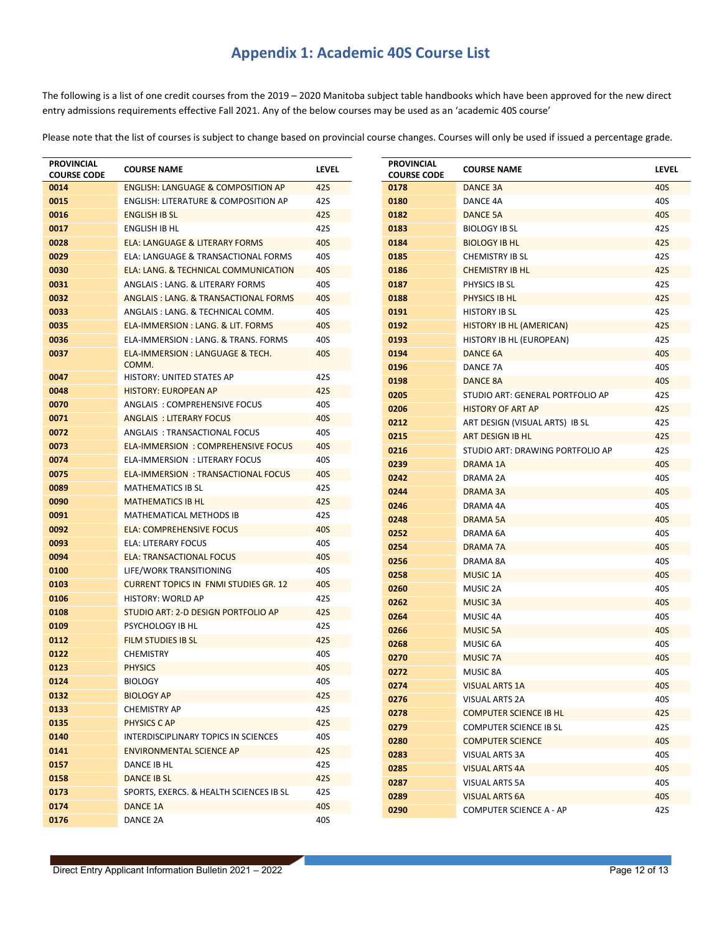# **Appendix 1: Academic 40S Course List**

<span id="page-11-0"></span>The following is a list of one credit courses from the 2019 – 2020 Manitoba subject table handbooks which have been approved for the new direct entry admissions requirements effective Fall 2021. Any of the below courses may be used as an 'academic 40S course'

Please note that the list of courses is subject to change based on provincial course changes. Courses will only be used if issued a percentage grade.

| <b>PROVINCIAL</b><br><b>COURSE CODE</b> | <b>COURSE NAME</b>                                              | <b>LEVEL</b> | <b>PROVINCIAL</b><br><b>COURSE CODE</b> | <b>COURSE NAME</b>               | <b>LEVEL</b>      |
|-----------------------------------------|-----------------------------------------------------------------|--------------|-----------------------------------------|----------------------------------|-------------------|
| 0014                                    | <b>ENGLISH: LANGUAGE &amp; COMPOSITION AP</b>                   | <b>42S</b>   | 0178                                    | <b>DANCE 3A</b>                  | <b>40S</b>        |
| 0015                                    | <b>ENGLISH: LITERATURE &amp; COMPOSITION AP</b>                 | 42S          | 0180                                    | DANCE 4A                         | 40S               |
| 0016                                    | <b>ENGLISH IB SL</b>                                            | 42S          | 0182                                    | <b>DANCE 5A</b>                  | <b>40S</b>        |
| 0017                                    | <b>ENGLISH IB HL</b>                                            | 42S          | 0183                                    | <b>BIOLOGY IB SL</b>             | 42S               |
| 0028                                    | ELA: LANGUAGE & LITERARY FORMS                                  | 40S          | 0184                                    | <b>BIOLOGY IB HL</b>             | 42S               |
| 0029                                    | ELA: LANGUAGE & TRANSACTIONAL FORMS                             | 40S          | 0185                                    | <b>CHEMISTRY IB SL</b>           | 42S               |
| 0030                                    | ELA: LANG. & TECHNICAL COMMUNICATION                            | 40S          | 0186                                    | <b>CHEMISTRY IB HL</b>           | <b>42S</b>        |
| 0031                                    | ANGLAIS: LANG. & LITERARY FORMS                                 | 40S          | 0187                                    | PHYSICS IB SL                    | 42S               |
| 0032                                    | ANGLAIS: LANG. & TRANSACTIONAL FORMS                            | 40S          | 0188                                    | PHYSICS IB HL                    | 42S               |
| 0033                                    | ANGLAIS : LANG. & TECHNICAL COMM.                               | 40S          | 0191                                    | <b>HISTORY IB SL</b>             | 42S               |
| 0035                                    | ELA-IMMERSION : LANG. & LIT. FORMS                              | 40S          | 0192                                    | <b>HISTORY IB HL (AMERICAN)</b>  | 42S               |
| 0036                                    | ELA-IMMERSION : LANG. & TRANS. FORMS                            | 40S          | 0193                                    | HISTORY IB HL (EUROPEAN)         | 42S               |
| 0037                                    | ELA-IMMERSION : LANGUAGE & TECH.                                | <b>40S</b>   | 0194                                    | DANCE 6A                         | <b>40S</b>        |
|                                         | COMM.                                                           |              | 0196                                    | DANCE 7A                         | 40S               |
| 0047<br>0048                            | <b>HISTORY: UNITED STATES AP</b><br><b>HISTORY: EUROPEAN AP</b> | 42S<br>42S   | 0198                                    | DANCE 8A                         | <b>40S</b>        |
| 0070                                    | ANGLAIS: COMPREHENSIVE FOCUS                                    | 40S          | 0205                                    | STUDIO ART: GENERAL PORTFOLIO AP | 42S               |
| 0071                                    | <b>ANGLAIS : LITERARY FOCUS</b>                                 | 40S          | 0206                                    | <b>HISTORY OF ART AP</b>         | 42S               |
| 0072                                    | ANGLAIS: TRANSACTIONAL FOCUS                                    | 40S          | 0212                                    | ART DESIGN (VISUAL ARTS) IB SL   | 42S               |
| 0073                                    | <b>ELA-IMMERSION : COMPREHENSIVE FOCUS</b>                      | 40S          | 0215                                    | ART DESIGN IB HL                 | <b>42S</b>        |
| 0074                                    | <b>ELA-IMMERSION : LITERARY FOCUS</b>                           | 40S          | 0216                                    | STUDIO ART: DRAWING PORTFOLIO AP | 42S               |
| 0075                                    | <b>ELA-IMMERSION : TRANSACTIONAL FOCUS</b>                      | 40S          | 0239                                    | <b>DRAMA 1A</b>                  | <b>40S</b>        |
| 0089                                    | <b>MATHEMATICS IB SL</b>                                        | 42S          | 0242                                    | DRAMA 2A                         | 40S               |
| 0090                                    | <b>MATHEMATICS IB HL</b>                                        | 42S          | 0244                                    | DRAMA 3A                         | <b>40S</b>        |
| 0091                                    | MATHEMATICAL METHODS IB                                         | 42S          | 0246                                    | DRAMA 4A                         | 40S               |
| 0092                                    | <b>ELA: COMPREHENSIVE FOCUS</b>                                 | 40S          | 0248                                    | <b>DRAMA 5A</b>                  | <b>40S</b>        |
| 0093                                    | ELA: LITERARY FOCUS                                             | 40S          | 0252                                    | DRAMA 6A                         | 40S               |
| 0094                                    | <b>ELA: TRANSACTIONAL FOCUS</b>                                 | 40S          | 0254                                    | DRAMA 7A                         | <b>40S</b>        |
| 0100                                    | LIFE/WORK TRANSITIONING                                         | 40S          | 0256                                    | DRAMA 8A                         | 40S               |
| 0103                                    | <b>CURRENT TOPICS IN FNMI STUDIES GR. 12</b>                    | 40S          | 0258                                    | <b>MUSIC 1A</b>                  | <b>40S</b>        |
| 0106                                    | <b>HISTORY: WORLD AP</b>                                        | 42S          | 0260                                    | MUSIC 2A                         | 40S               |
| 0108                                    | STUDIO ART: 2-D DESIGN PORTFOLIO AP                             | 42S          | 0262                                    | <b>MUSIC 3A</b>                  | 40S               |
| 0109                                    | PSYCHOLOGY IB HL                                                | 42S          | 0264<br>0266                            | MUSIC 4A<br><b>MUSIC 5A</b>      | 40S<br><b>40S</b> |
| 0112                                    | FILM STUDIES IB SL                                              | 42S          | 0268                                    | MUSIC 6A                         | 40S               |
| 0122                                    | <b>CHEMISTRY</b>                                                | 40S          | 0270                                    | <b>MUSIC 7A</b>                  | 40S               |
| 0123                                    | <b>PHYSICS</b>                                                  | <b>40S</b>   | 0272                                    | MUSIC 8A                         | 40S               |
| 0124                                    | <b>BIOLOGY</b>                                                  | 40S          | 0274                                    | <b>VISUAL ARTS 1A</b>            | 40S               |
| 0132                                    | <b>BIOLOGY AP</b>                                               | 42S          | 0276                                    | VISUAL ARTS 2A                   | 40S               |
| 0133                                    | <b>CHEMISTRY AP</b>                                             | 42S          | 0278                                    | <b>COMPUTER SCIENCE IB HL</b>    | 42S               |
| 0135                                    | PHYSICS CAP                                                     | 42S          | 0279                                    | <b>COMPUTER SCIENCE IB SL</b>    | 42S               |
| 0140                                    | INTERDISCIPLINARY TOPICS IN SCIENCES                            | 40S          | 0280                                    | <b>COMPUTER SCIENCE</b>          | 40S               |
| 0141                                    | <b>ENVIRONMENTAL SCIENCE AP</b>                                 | 42S          | 0283                                    | VISUAL ARTS 3A                   | 40S               |
| 0157                                    | DANCE IB HL                                                     | 42S          | 0285                                    | <b>VISUAL ARTS 4A</b>            | 40S               |
| 0158                                    | DANCE IB SL                                                     | 42S          | 0287                                    | VISUAL ARTS 5A                   | 40S               |
| 0173                                    | SPORTS, EXERCS. & HEALTH SCIENCES IB SL                         | 42S          | 0289                                    | <b>VISUAL ARTS 6A</b>            | 40S               |
| 0174                                    | <b>DANCE 1A</b>                                                 | 40S          | 0290                                    | COMPUTER SCIENCE A - AP          | 42S               |
| 0176                                    | DANCE 2A                                                        | 40S          |                                         |                                  |                   |